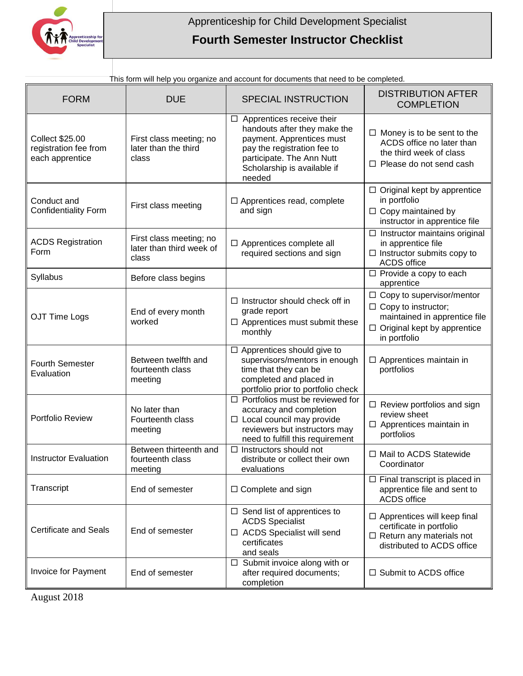

## **Fourth Semester Instructor Checklist**

| <b>FORM</b>                                                        | <b>DUE</b>                                                   | <b>SPECIAL INSTRUCTION</b>                                                                                                                                                                         | <b>DISTRIBUTION AFTER</b><br><b>COMPLETION</b>                                                                                                        |
|--------------------------------------------------------------------|--------------------------------------------------------------|----------------------------------------------------------------------------------------------------------------------------------------------------------------------------------------------------|-------------------------------------------------------------------------------------------------------------------------------------------------------|
| <b>Collect \$25.00</b><br>registration fee from<br>each apprentice | First class meeting; no<br>later than the third<br>class     | $\Box$ Apprentices receive their<br>handouts after they make the<br>payment. Apprentices must<br>pay the registration fee to<br>participate. The Ann Nutt<br>Scholarship is available if<br>needed | $\Box$ Money is to be sent to the<br>ACDS office no later than<br>the third week of class<br>$\Box$ Please do not send cash                           |
| Conduct and<br><b>Confidentiality Form</b>                         | First class meeting                                          | $\Box$ Apprentices read, complete<br>and sign                                                                                                                                                      | $\Box$ Original kept by apprentice<br>in portfolio<br>$\Box$ Copy maintained by<br>instructor in apprentice file                                      |
| <b>ACDS Registration</b><br>Form                                   | First class meeting; no<br>later than third week of<br>class | $\Box$ Apprentices complete all<br>required sections and sign                                                                                                                                      | $\Box$ Instructor maintains original<br>in apprentice file<br>$\Box$ Instructor submits copy to<br><b>ACDS</b> office                                 |
| Syllabus                                                           | Before class begins                                          |                                                                                                                                                                                                    | $\Box$ Provide a copy to each<br>apprentice                                                                                                           |
| OJT Time Logs                                                      | End of every month<br>worked                                 | $\Box$ Instructor should check off in<br>grade report<br>$\Box$ Apprentices must submit these<br>monthly                                                                                           | $\Box$ Copy to supervisor/mentor<br>$\Box$ Copy to instructor;<br>maintained in apprentice file<br>$\Box$ Original kept by apprentice<br>in portfolio |
| <b>Fourth Semester</b><br>Evaluation                               | Between twelfth and<br>fourteenth class<br>meeting           | $\Box$ Apprentices should give to<br>supervisors/mentors in enough<br>time that they can be<br>completed and placed in<br>portfolio prior to portfolio check                                       | $\Box$ Apprentices maintain in<br>portfolios                                                                                                          |
| Portfolio Review                                                   | No later than<br>Fourteenth class<br>meeting                 | $\Box$ Portfolios must be reviewed for<br>accuracy and completion<br>$\Box$ Local council may provide<br>reviewers but instructors may<br>need to fulfill this requirement                         | $\Box$ Review portfolios and sign<br>review sheet<br>$\Box$ Apprentices maintain in<br>portfolios                                                     |
| <b>Instructor Evaluation</b>                                       | Between thirteenth and<br>fourteenth class<br>meeting        | $\Box$ Instructors should not<br>distribute or collect their own<br>evaluations                                                                                                                    | □ Mail to ACDS Statewide<br>Coordinator                                                                                                               |
| Transcript                                                         | End of semester                                              | $\Box$ Complete and sign                                                                                                                                                                           | $\Box$ Final transcript is placed in<br>apprentice file and sent to<br><b>ACDS</b> office                                                             |
| <b>Certificate and Seals</b>                                       | End of semester                                              | $\Box$ Send list of apprentices to<br><b>ACDS Specialist</b><br>□ ACDS Specialist will send<br>certificates<br>and seals                                                                           | $\Box$ Apprentices will keep final<br>certificate in portfolio<br>$\Box$ Return any materials not<br>distributed to ACDS office                       |
| Invoice for Payment                                                | End of semester                                              | Submit invoice along with or<br>$\Box$<br>after required documents;<br>completion                                                                                                                  | $\Box$ Submit to ACDS office                                                                                                                          |

This form will help you organize and account for documents that need to be completed.

August 2018